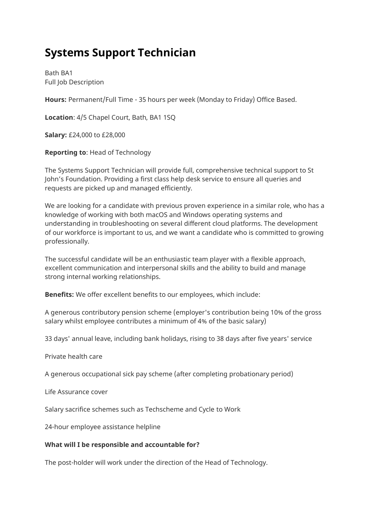# **Systems Support Technician**

Bath BA1 Full Job Description

**Hours:** Permanent/Full Time - 35 hours per week (Monday to Friday) Office Based.

**Location**: 4/5 Chapel Court, Bath, BA1 1SQ

**Salary:** £24,000 to £28,000

**Reporting to**: Head of Technology

The Systems Support Technician will provide full, comprehensive technical support to St John's Foundation. Providing a first class help desk service to ensure all queries and requests are picked up and managed efficiently.

We are looking for a candidate with previous proven experience in a similar role, who has a knowledge of working with both macOS and Windows operating systems and understanding in troubleshooting on several different cloud platforms. The development of our workforce is important to us, and we want a candidate who is committed to growing professionally.

The successful candidate will be an enthusiastic team player with a flexible approach, excellent communication and interpersonal skills and the ability to build and manage strong internal working relationships.

**Benefits:** We offer excellent benefits to our employees, which include:

A generous contributory pension scheme (employer's contribution being 10% of the gross salary whilst employee contributes a minimum of 4% of the basic salary)

33 days' annual leave, including bank holidays, rising to 38 days after five years' service

Private health care

A generous occupational sick pay scheme (after completing probationary period)

Life Assurance cover

Salary sacrifice schemes such as Techscheme and Cycle to Work

24-hour employee assistance helpline

### **What will I be responsible and accountable for?**

The post-holder will work under the direction of the Head of Technology.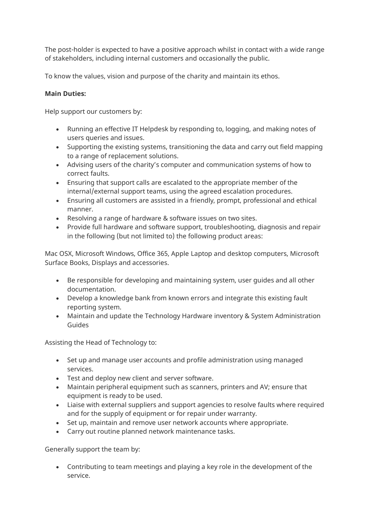The post-holder is expected to have a positive approach whilst in contact with a wide range of stakeholders, including internal customers and occasionally the public.

To know the values, vision and purpose of the charity and maintain its ethos.

## **Main Duties:**

Help support our customers by:

- Running an effective IT Helpdesk by responding to, logging, and making notes of users queries and issues.
- Supporting the existing systems, transitioning the data and carry out field mapping to a range of replacement solutions.
- Advising users of the charity's computer and communication systems of how to correct faults.
- Ensuring that support calls are escalated to the appropriate member of the internal/external support teams, using the agreed escalation procedures.
- Ensuring all customers are assisted in a friendly, prompt, professional and ethical manner.
- Resolving a range of hardware & software issues on two sites.
- Provide full hardware and software support, troubleshooting, diagnosis and repair in the following (but not limited to) the following product areas:

Mac OSX, Microsoft Windows, Office 365, Apple Laptop and desktop computers, Microsoft Surface Books, Displays and accessories.

- Be responsible for developing and maintaining system, user guides and all other documentation.
- Develop a knowledge bank from known errors and integrate this existing fault reporting system.
- Maintain and update the Technology Hardware inventory & System Administration Guides

Assisting the Head of Technology to:

- Set up and manage user accounts and profile administration using managed services.
- Test and deploy new client and server software.
- Maintain peripheral equipment such as scanners, printers and AV; ensure that equipment is ready to be used.
- Liaise with external suppliers and support agencies to resolve faults where required and for the supply of equipment or for repair under warranty.
- Set up, maintain and remove user network accounts where appropriate.
- Carry out routine planned network maintenance tasks.

Generally support the team by:

• Contributing to team meetings and playing a key role in the development of the service.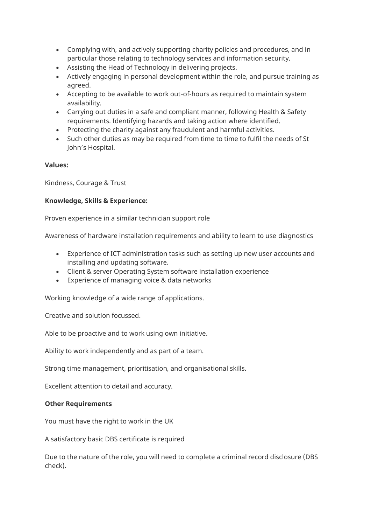- Complying with, and actively supporting charity policies and procedures, and in particular those relating to technology services and information security.
- Assisting the Head of Technology in delivering projects.
- Actively engaging in personal development within the role, and pursue training as agreed.
- Accepting to be available to work out-of-hours as required to maintain system availability.
- Carrying out duties in a safe and compliant manner, following Health & Safety requirements. Identifying hazards and taking action where identified.
- Protecting the charity against any fraudulent and harmful activities.
- Such other duties as may be required from time to time to fulfil the needs of St John's Hospital.

#### **Values:**

Kindness, Courage & Trust

#### **Knowledge, Skills & Experience:**

Proven experience in a similar technician support role

Awareness of hardware installation requirements and ability to learn to use diagnostics

- Experience of ICT administration tasks such as setting up new user accounts and installing and updating software.
- Client & server Operating System software installation experience
- Experience of managing voice & data networks

Working knowledge of a wide range of applications.

Creative and solution focussed.

Able to be proactive and to work using own initiative.

Ability to work independently and as part of a team.

Strong time management, prioritisation, and organisational skills.

Excellent attention to detail and accuracy.

#### **Other Requirements**

You must have the right to work in the UK

A satisfactory basic DBS certificate is required

Due to the nature of the role, you will need to complete a criminal record disclosure (DBS check).